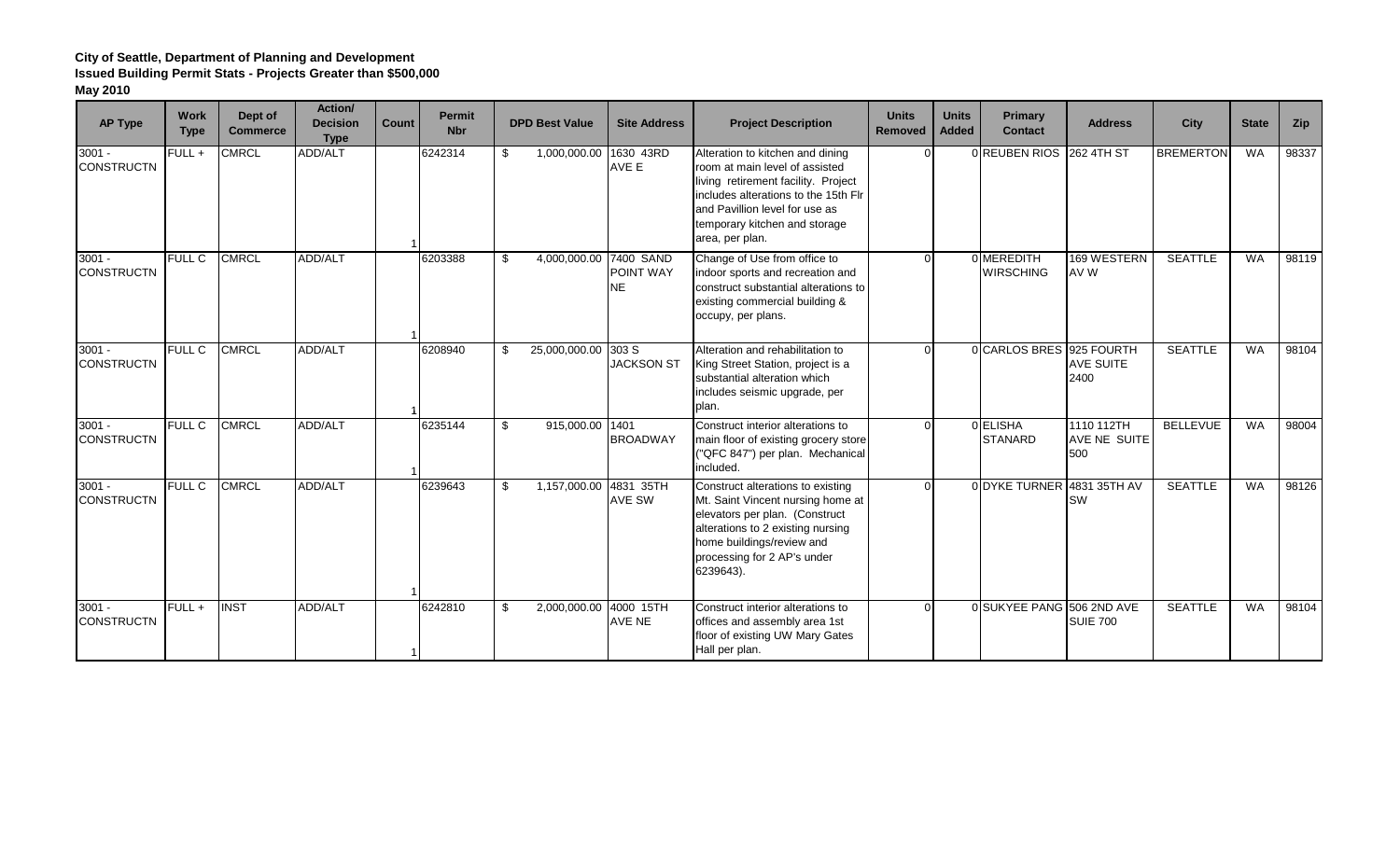| <b>AP Type</b>                | <b>Work</b><br><b>Type</b> | Dept of<br>Commerce | Action/<br><b>Decision</b><br><b>Type</b> | <b>Count</b> | <b>Permit</b><br><b>Nbr</b> |     | <b>DPD Best Value</b>  | <b>Site Address</b>           | <b>Project Description</b>                                                                                                                                                                                                              | <b>Units</b><br><b>Removed</b> | <b>Units</b><br><b>Added</b> | Primary<br><b>Contact</b>      | <b>Address</b>                    | City             | <b>State</b> | Zip   |
|-------------------------------|----------------------------|---------------------|-------------------------------------------|--------------|-----------------------------|-----|------------------------|-------------------------------|-----------------------------------------------------------------------------------------------------------------------------------------------------------------------------------------------------------------------------------------|--------------------------------|------------------------------|--------------------------------|-----------------------------------|------------------|--------------|-------|
| $3001 -$<br><b>CONSTRUCTN</b> | $FULL +$                   | <b>CMRCL</b>        | ADD/ALT                                   |              | 6242314                     | \$  | 1,000,000.00 1630 43RD | AVE E                         | Alteration to kitchen and dining<br>room at main level of assisted<br>living retirement facility. Project<br>includes alterations to the 15th Flr<br>and Pavillion level for use as<br>temporary kitchen and storage<br>area, per plan. |                                |                              | 0 REUBEN RIOS 262 4TH ST       |                                   | <b>BREMERTON</b> | WA           | 98337 |
| $3001 -$<br><b>CONSTRUCTN</b> | <b>FULL C</b>              | <b>CMRCL</b>        | ADD/ALT                                   |              | 6203388                     | \$  | 4,000,000.00 7400 SAND | <b>POINT WAY</b><br><b>NE</b> | Change of Use from office to<br>indoor sports and recreation and<br>construct substantial alterations to<br>existing commercial building &<br>occupy, per plans.                                                                        | $\Omega$                       |                              | 0 MEREDITH<br><b>WIRSCHING</b> | 169 WESTERN<br>AV W               | <b>SEATTLE</b>   | <b>WA</b>    | 98119 |
| $3001 -$<br><b>CONSTRUCTN</b> | <b>FULL C</b>              | <b>CMRCL</b>        | ADD/ALT                                   |              | 6208940                     | -\$ | 25,000,000.00 303 S    | <b>JACKSON ST</b>             | Alteration and rehabilitation to<br>King Street Station, project is a<br>substantial alteration which<br>includes seismic upgrade, per<br>plan.                                                                                         |                                |                              | 0 CARLOS BRES 925 FOURTH       | AVE SUITE<br>2400                 | <b>SEATTLE</b>   | <b>WA</b>    | 98104 |
| $3001 -$<br><b>CONSTRUCTN</b> | <b>FULL C</b>              | <b>CMRCL</b>        | ADD/ALT                                   |              | 6235144                     | \$  | 915,000.00 1401        | <b>BROADWAY</b>               | Construct interior alterations to<br>main floor of existing grocery store<br>("QFC 847") per plan. Mechanical<br>included.                                                                                                              |                                |                              | 0 ELISHA<br><b>STANARD</b>     | 1110 112TH<br>AVE NE SUITE<br>500 | <b>BELLEVUE</b>  | <b>WA</b>    | 98004 |
| $3001 -$<br><b>CONSTRUCTN</b> | <b>FULL C</b>              | <b>CMRCL</b>        | ADD/ALT                                   |              | 6239643                     | \$  | 1,157,000.00 4831 35TH | AVE SW                        | Construct alterations to existing<br>Mt. Saint Vincent nursing home at<br>elevators per plan. (Construct<br>alterations to 2 existing nursing<br>home buildings/review and<br>processing for 2 AP's under<br>6239643).                  | $\Omega$                       |                              | 0 DYKE TURNER                  | 4831 35TH AV<br><b>SW</b>         | <b>SEATTLE</b>   | <b>WA</b>    | 98126 |
| $3001 -$<br><b>CONSTRUCTN</b> | FULL +                     | <b>INST</b>         | ADD/ALT                                   |              | 6242810                     | -\$ | 2,000,000.00 4000 15TH | AVE NE                        | Construct interior alterations to<br>offices and assembly area 1st<br>floor of existing UW Mary Gates<br>Hall per plan.                                                                                                                 |                                |                              | 0 SUKYEE PANG 506 2ND AVE      | <b>SUIE 700</b>                   | <b>SEATTLE</b>   | <b>WA</b>    | 98104 |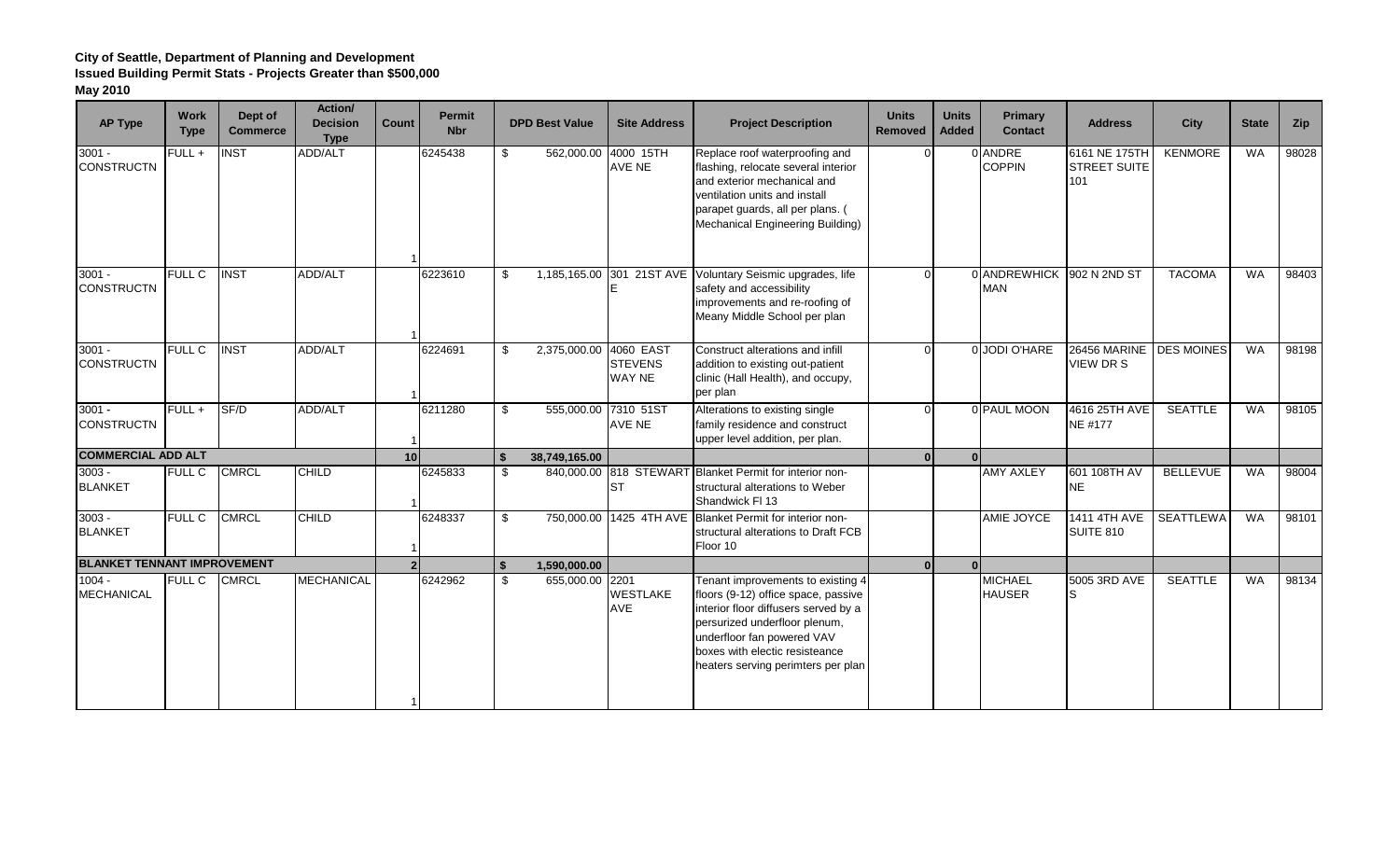| <b>AP Type</b>                     | <b>Work</b><br><b>Type</b> | Dept of<br><b>Commerce</b> | Action/<br><b>Decision</b><br><b>Type</b> | Count           | <b>Permit</b><br><b>Nbr</b> | <b>DPD Best Value</b>      | <b>Site Address</b>                          | <b>Project Description</b>                                                                                                                                                                                                                              | <b>Units</b><br><b>Removed</b> | <b>Units</b><br>Added | Primary<br><b>Contact</b>       | <b>Address</b>                              | City             | <b>State</b> | Zip   |
|------------------------------------|----------------------------|----------------------------|-------------------------------------------|-----------------|-----------------------------|----------------------------|----------------------------------------------|---------------------------------------------------------------------------------------------------------------------------------------------------------------------------------------------------------------------------------------------------------|--------------------------------|-----------------------|---------------------------------|---------------------------------------------|------------------|--------------|-------|
| $3001 -$<br><b>CONSTRUCTN</b>      | FULL +                     | <b>NST</b>                 | <b>ADD/ALT</b>                            |                 | 6245438                     | \$                         | 562,000.00 4000 15TH<br><b>AVE NE</b>        | Replace roof waterproofing and<br>flashing, relocate several interior<br>and exterior mechanical and<br>ventilation units and install<br>parapet guards, all per plans. (<br>Mechanical Engineering Building)                                           |                                |                       | 0 ANDRE<br><b>COPPIN</b>        | 6161 NE 175TH<br><b>STREET SUITE</b><br>101 | <b>KENMORE</b>   | <b>WA</b>    | 98028 |
| $3001 -$<br><b>CONSTRUCTN</b>      | <b>FULL C</b>              | <b>INST</b>                | ADD/ALT                                   |                 | 6223610                     | \$<br>1,185,165.00         |                                              | 301 21ST AVE Voluntary Seismic upgrades, life<br>safety and accessibility<br>improvements and re-roofing of<br>Meany Middle School per plan                                                                                                             |                                |                       | 0 ANDREWHICK<br><b>MAN</b>      | 902 N 2ND ST                                | <b>TACOMA</b>    | <b>WA</b>    | 98403 |
| $3001 -$<br><b>CONSTRUCTN</b>      | <b>FULL C</b>              | <b>INST</b>                | ADD/ALT                                   |                 | 6224691                     | \$<br>2,375,000.00         | 4060 EAST<br><b>STEVENS</b><br><b>WAY NE</b> | Construct alterations and infill<br>addition to existing out-patient<br>clinic (Hall Health), and occupy,<br>per plan                                                                                                                                   |                                |                       | 0 JODI O'HARE                   | 26456 MARINE DES MOINES<br>VIEW DR S        |                  | <b>WA</b>    | 98198 |
| $3001 -$<br><b>CONSTRUCTN</b>      | $FULL +$                   | SF/D                       | ADD/ALT                                   |                 | 6211280                     | \$<br>555,000.00 7310 51ST | AVE NE                                       | Alterations to existing single<br>family residence and construct<br>upper level addition, per plan.                                                                                                                                                     | $\Omega$                       |                       | 0 PAUL MOON                     | 4616 25TH AVE<br><b>NE #177</b>             | <b>SEATTLE</b>   | <b>WA</b>    | 98105 |
| <b>COMMERCIAL ADD ALT</b>          |                            |                            |                                           | 10 <sup>1</sup> |                             | 38,749,165.00              |                                              |                                                                                                                                                                                                                                                         | 0 <sup>l</sup>                 |                       |                                 |                                             |                  |              |       |
| $3003 -$<br><b>BLANKET</b>         | <b>FULL C</b>              | <b>CMRCL</b>               | <b>CHILD</b>                              |                 | 6245833                     | \$                         | <b>ST</b>                                    | 840,000.00 818 STEWART Blanket Permit for interior non-<br>structural alterations to Weber<br>Shandwick FI 13                                                                                                                                           |                                |                       | <b>AMY AXLEY</b>                | 601 108TH AV<br>NE                          | <b>BELLEVUE</b>  | <b>WA</b>    | 98004 |
| $3003 -$<br><b>BLANKET</b>         | <b>FULL C</b>              | <b>CMRCL</b>               | <b>CHILD</b>                              |                 | 6248337                     | \$                         |                                              | 750,000.00 1425 4TH AVE Blanket Permit for interior non-<br>structural alterations to Draft FCB<br>Floor 10                                                                                                                                             |                                |                       | AMIE JOYCE                      | <b>1411 4TH AVE</b><br><b>SUITE 810</b>     | <b>SEATTLEWA</b> | <b>WA</b>    | 98101 |
| <b>BLANKET TENNANT IMPROVEMENT</b> |                            |                            |                                           |                 |                             | \$<br>1,590,000.00         |                                              |                                                                                                                                                                                                                                                         | <sup>0</sup>                   |                       |                                 |                                             |                  |              |       |
| $1004 -$<br><b>MECHANICAL</b>      | <b>FULL C</b>              | <b>CMRCL</b>               | <b>MECHANICAL</b>                         |                 | 6242962                     | \$<br>655,000.00 2201      | <b>WESTLAKE</b><br>AVE                       | Tenant improvements to existing 4<br>floors (9-12) office space, passive<br>interior floor diffusers served by a<br>persurized underfloor plenum,<br>underfloor fan powered VAV<br>boxes with electic resisteance<br>heaters serving perimters per plan |                                |                       | <b>MICHAEL</b><br><b>HAUSER</b> | 5005 3RD AVE<br>lS                          | <b>SEATTLE</b>   | <b>WA</b>    | 98134 |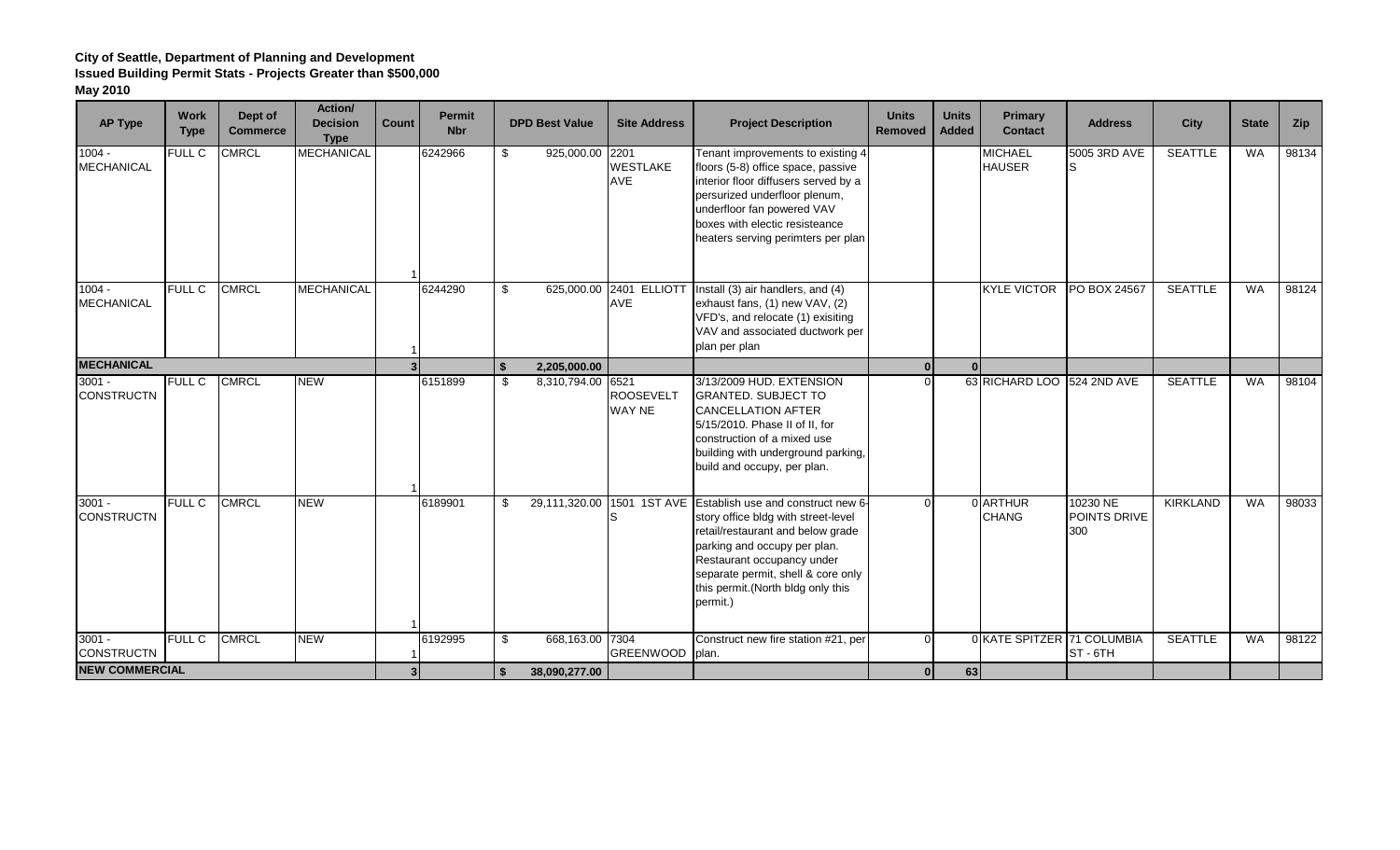| <b>AP Type</b>                | <b>Work</b><br><b>Type</b> | Dept of<br><b>Commerce</b> | Action/<br><b>Decision</b><br><b>Type</b> | <b>Count</b> | <b>Permit</b><br><b>Nbr</b> | <b>DPD Best Value</b>   | <b>Site Address</b>                   | <b>Project Description</b>                                                                                                                                                                                                                                                                      | <b>Units</b><br><b>Removed</b> | <b>Units</b><br><b>Added</b> | Primary<br><b>Contact</b>       | <b>Address</b>                  | City            | <b>State</b> | Zip   |
|-------------------------------|----------------------------|----------------------------|-------------------------------------------|--------------|-----------------------------|-------------------------|---------------------------------------|-------------------------------------------------------------------------------------------------------------------------------------------------------------------------------------------------------------------------------------------------------------------------------------------------|--------------------------------|------------------------------|---------------------------------|---------------------------------|-----------------|--------------|-------|
| $1004 -$<br><b>MECHANICAL</b> | <b>FULL C</b>              | <b>CMRCL</b>               | <b>MECHANICAL</b>                         |              | 6242966                     | \$<br>925,000.00 2201   | <b>WESTLAKE</b><br>AVE                | Tenant improvements to existing 4<br>floors (5-8) office space, passive<br>interior floor diffusers served by a<br>persurized underfloor plenum,<br>underfloor fan powered VAV<br>boxes with electic resisteance<br>heaters serving perimters per plan                                          |                                |                              | <b>MICHAEL</b><br><b>HAUSER</b> | 5005 3RD AVE                    | <b>SEATTLE</b>  | WA           | 98134 |
| $1004 -$<br><b>MECHANICAL</b> | <b>FULL C</b>              | <b>CMRCL</b>               | <b>MECHANICAL</b>                         |              | 6244290                     | \$                      | 625,000.00 2401 ELLIOTT<br><b>AVE</b> | Install (3) air handlers, and (4)<br>exhaust fans, (1) new VAV, (2)<br>VFD's, and relocate (1) exisiting<br>VAV and associated ductwork per<br>plan per plan                                                                                                                                    |                                |                              | <b>KYLE VICTOR</b>              | PO BOX 24567                    | <b>SEATTLE</b>  | <b>WA</b>    | 98124 |
| <b>MECHANICAL</b>             |                            |                            |                                           |              |                             | \$<br>2,205,000.00      |                                       |                                                                                                                                                                                                                                                                                                 | $\overline{0}$                 |                              |                                 |                                 |                 |              |       |
| $3001 -$<br><b>CONSTRUCTN</b> | <b>FULL C</b>              | <b>CMRCL</b>               | <b>NEW</b>                                |              | 6151899                     | \$<br>8,310,794.00 6521 | <b>ROOSEVELT</b><br>WAY NE            | 3/13/2009 HUD. EXTENSION<br><b>GRANTED. SUBJECT TO</b><br><b>CANCELLATION AFTER</b><br>5/15/2010. Phase II of II, for<br>construction of a mixed use<br>building with underground parking,<br>build and occupy, per plan.                                                                       | $\Omega$                       |                              | 63 RICHARD LOO 524 2ND AVE      |                                 | <b>SEATTLE</b>  | <b>WA</b>    | 98104 |
| $3001 -$<br><b>CONSTRUCTN</b> | <b>FULL C</b>              | <b>CMRCL</b>               | <b>NEW</b>                                |              | 6189901                     | \$                      |                                       | 29,111,320.00 1501 1ST AVE Establish use and construct new 6-<br>story office bldg with street-level<br>retail/restaurant and below grade<br>parking and occupy per plan.<br>Restaurant occupancy under<br>separate permit, shell & core only<br>this permit. (North bldg only this<br>permit.) |                                |                              | 0 ARTHUR<br><b>CHANG</b>        | 10230 NE<br>POINTS DRIVE<br>300 | <b>KIRKLAND</b> | <b>WA</b>    | 98033 |
| $3001 -$<br><b>CONSTRUCTN</b> | <b>FULL C</b>              | <b>CMRCL</b>               | <b>NEW</b>                                |              | 6192995                     | \$<br>668,163.00 7304   | GREENWOOD plan.                       | Construct new fire station #21, per                                                                                                                                                                                                                                                             | $\Omega$                       |                              | 0 KATE SPITZER 71 COLUMBIA      | ST-6TH                          | <b>SEATTLE</b>  | <b>WA</b>    | 98122 |
| <b>NEW COMMERCIAL</b>         |                            |                            |                                           |              |                             | 38,090,277.00           |                                       |                                                                                                                                                                                                                                                                                                 | 0 <sup>l</sup>                 | 63                           |                                 |                                 |                 |              |       |